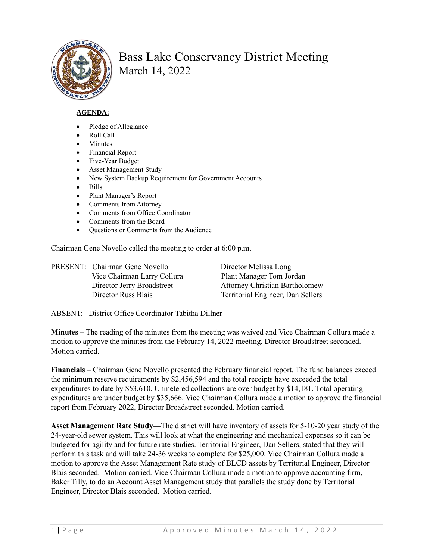

## Bass Lake Conservancy District Meeting March 14, 2022

## **AGENDA:**

- Pledge of Allegiance
- Roll Call
- **Minutes**
- Financial Report
- Five-Year Budget
- Asset Management Study
- New System Backup Requirement for Government Accounts
- Bills
- Plant Manager's Report
- Comments from Attorney
- Comments from Office Coordinator
- Comments from the Board
- Questions or Comments from the Audience

Chairman Gene Novello called the meeting to order at 6:00 p.m.

| PRESENT: Chairman Gene Novello | Director Melissa Long                 |
|--------------------------------|---------------------------------------|
| Vice Chairman Larry Collura    | Plant Manager Tom Jordan              |
| Director Jerry Broadstreet     | <b>Attorney Christian Bartholomew</b> |
| Director Russ Blais            | Territorial Engineer, Dan Sellers     |

ABSENT: District Office Coordinator Tabitha Dillner

**Minutes** – The reading of the minutes from the meeting was waived and Vice Chairman Collura made a motion to approve the minutes from the February 14, 2022 meeting, Director Broadstreet seconded. Motion carried.

**Financials** – Chairman Gene Novello presented the February financial report. The fund balances exceed the minimum reserve requirements by \$2,456,594 and the total receipts have exceeded the total expenditures to date by \$53,610. Unmetered collections are over budget by \$14,181. Total operating expenditures are under budget by \$35,666. Vice Chairman Collura made a motion to approve the financial report from February 2022, Director Broadstreet seconded. Motion carried.

**Asset Management Rate Study—**The district will have inventory of assets for 5-10-20 year study of the 24-year-old sewer system. This will look at what the engineering and mechanical expenses so it can be budgeted for agility and for future rate studies. Territorial Engineer, Dan Sellers, stated that they will perform this task and will take 24-36 weeks to complete for \$25,000. Vice Chairman Collura made a motion to approve the Asset Management Rate study of BLCD assets by Territorial Engineer, Director Blais seconded. Motion carried. Vice Chairman Collura made a motion to approve accounting firm, Baker Tilly, to do an Account Asset Management study that parallels the study done by Territorial Engineer, Director Blais seconded. Motion carried.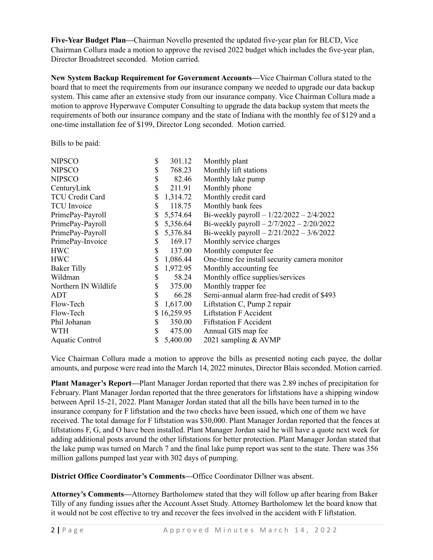**Five-Year Budget Plan—**Chairman Novello presented the updated five-year plan for BLCD, Vice Chairman Collura made a motion to approve the revised 2022 budget which includes the five-year plan, Director Broadstreet seconded. Motion carried.

**New System Backup Requirement for Government Accounts—**Vice Chairman Collura stated to the board that to meet the requirements from our insurance company we needed to upgrade our data backup system. This came after an extensive study from our insurance company. Vice Chairman Collura made a motion to approve Hyperwave Computer Consulting to upgrade the data backup system that meets the requirements of both our insurance company and the state of Indiana with the monthly fee of \$129 and a one-time installation fee of \$199, Director Long seconded. Motion carried.

Bills to be paid:

| <b>NIPSCO</b>          | \$<br>301.12   | Monthly plant                                |
|------------------------|----------------|----------------------------------------------|
| <b>NIPSCO</b>          | \$<br>768.23   | Monthly lift stations                        |
| <b>NIPSCO</b>          | \$<br>82.46    | Monthly lake pump                            |
| CenturyLink            | \$<br>211.91   | Monthly phone                                |
| <b>TCU Credit Card</b> | \$<br>1,314.72 | Monthly credit card                          |
| <b>TCU</b> Invoice     | \$<br>118.75   | Monthly bank fees                            |
| PrimePay-Payroll       | \$<br>5,574.64 | Bi-weekly payroll $-1/22/2022 - 2/4/2022$    |
| PrimePay-Payroll       | \$<br>5,356.64 | Bi-weekly payroll $-2/7/2022 - 2/20/2022$    |
| PrimePay-Payroll       | \$<br>5,376.84 | Bi-weekly payroll $-2/21/2022 - 3/6/2022$    |
| PrimePay-Invoice       | \$<br>169.17   | Monthly service charges                      |
| <b>HWC</b>             | 137.00         | Monthly computer fee                         |
| <b>HWC</b>             | \$<br>1,086.44 | One-time fee install security camera monitor |
| <b>Baker Tilly</b>     | 1,972.95       | Monthly accounting fee                       |
| Wildman                | \$<br>58.24    | Monthly office supplies/services             |
| Northern IN Wildlife   | \$<br>375.00   | Monthly trapper fee                          |
| ADT                    | \$<br>66.28    | Semi-annual alarm free-had credit of \$493   |
| Flow-Tech              | 1,617.00       | Liftstation C, Pump 2 repair                 |
| Flow-Tech              | \$16,259.95    | <b>Liftstation F Accident</b>                |
| Phil Johanan           | \$<br>350.00   | <b>Fiftstation F Accident</b>                |
| <b>WTH</b>             | \$<br>475.00   | Annual GIS map fee                           |
| Aquatic Control        | \$<br>5,400.00 | 2021 sampling & AVMP                         |

Vice Chairman Collura made a motion to approve the bills as presented noting each payee, the dollar amounts, and purpose were read into the March 14, 2022 minutes, Director Blais seconded. Motion carried.

**Plant Manager's Report—**Plant Manager Jordan reported that there was 2.89 inches of precipitation for February. Plant Manager Jordan reported that the three generators for liftstations have a shipping window between April 15-21, 2022. Plant Manager Jordan stated that all the bills have been turned in to the insurance company for F liftstation and the two checks have been issued, which one of them we have received. The total damage for F liftstation was \$30,000. Plant Manager Jordan reported that the fences at liftstations F, G, and O have been installed. Plant Manager Jordan said he will have a quote next week for adding additional posts around the other liftstations for better protection. Plant Manager Jordan stated that the lake pump was turned on March 7 and the final lake pump report was sent to the state. There was 356 million gallons pumped last year with 302 days of pumping.

**District Office Coordinator's Comments—**Office Coordinator Dillner was absent.

**Attorney's Comments—**Attorney Bartholomew stated that they will follow up after hearing from Baker Tilly of any funding issues after the Account Asset Study. Attorney Bartholomew let the board know that it would not be cost effective to try and recover the fees involved in the accident with F liftstation.